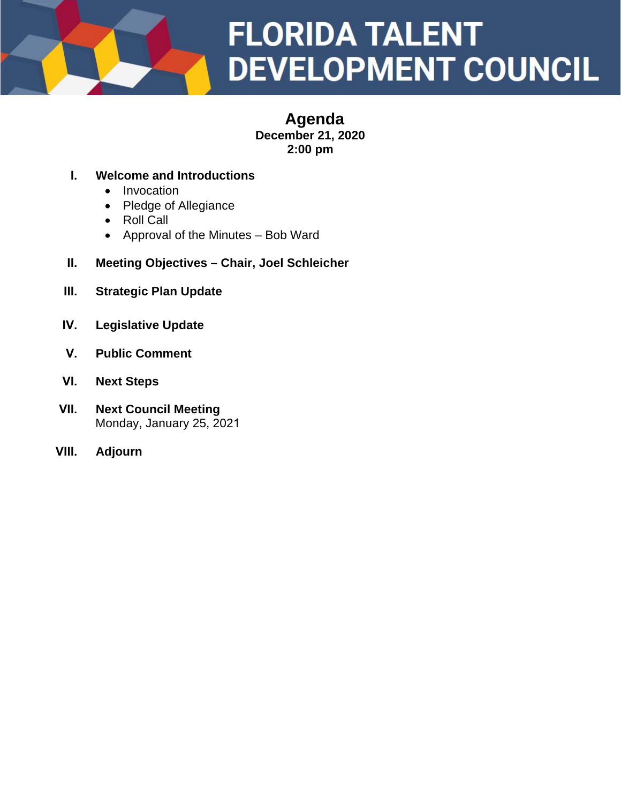

### **Agenda December 21, 2020 2:00 pm**

### **I. Welcome and Introductions**

- Invocation
- Pledge of Allegiance
- Roll Call
- Approval of the Minutes Bob Ward
- **II. Meeting Objectives Chair, Joel Schleicher**
- **III. Strategic Plan Update**
- **IV. Legislative Update**
- **V. Public Comment**
- **VI. Next Steps**
- **VII. Next Council Meeting** Monday, January 25, 2021
- **VIII. Adjourn**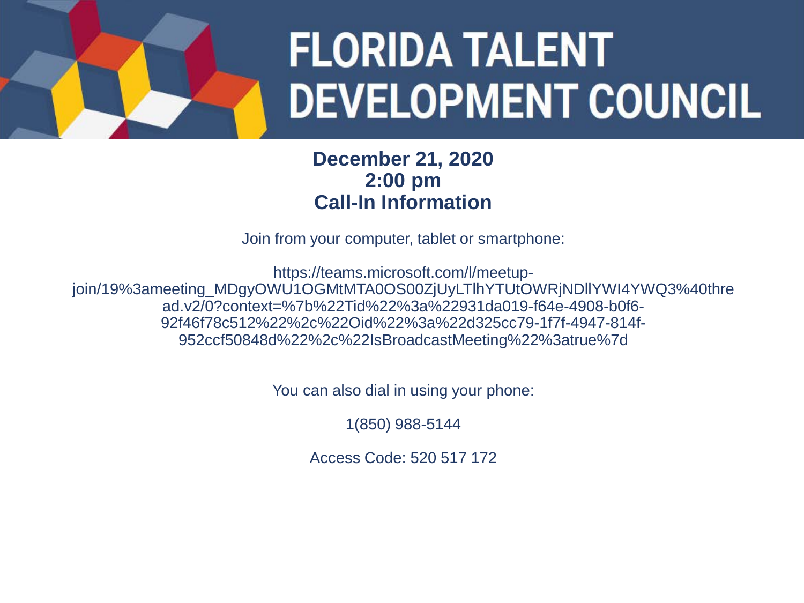

### **December 21, 2020 2:00 pm Call-In Information**

Join from your computer, tablet or smartphone:

https://teams.microsoft.com/l/meetupjoin/19%3ameeting\_MDgyOWU1OGMtMTA0OS00ZjUyLTlhYTUtOWRjNDllYWI4YWQ3%40thre ad.v2/0?context=%7b%22Tid%22%3a%22931da019-f64e-4908-b0f6- 92f46f78c512%22%2c%22Oid%22%3a%22d325cc79-1f7f-4947-814f-952ccf50848d%22%2c%22IsBroadcastMeeting%22%3atrue%7d

You can also dial in using your phone:

1(850) 988-5144

Access Code: 520 517 172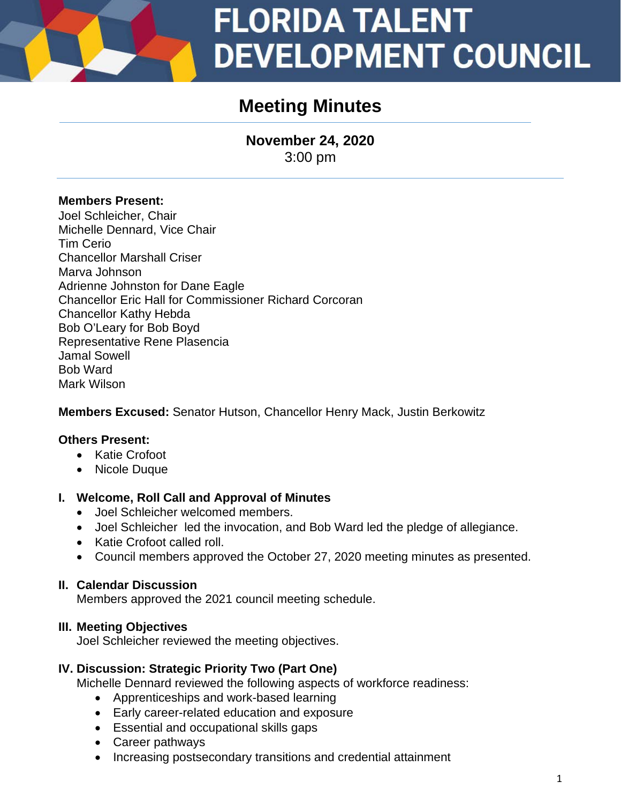### **Meeting Minutes**

**November 24, 2020** 3:00 pm

### **Members Present:**

Joel Schleicher, Chair Michelle Dennard, Vice Chair Tim Cerio Chancellor Marshall Criser Marva Johnson Adrienne Johnston for Dane Eagle Chancellor Eric Hall for Commissioner Richard Corcoran Chancellor Kathy Hebda Bob O'Leary for Bob Boyd Representative Rene Plasencia Jamal Sowell Bob Ward Mark Wilson

**Members Excused:** Senator Hutson, Chancellor Henry Mack, Justin Berkowitz

### **Others Present:**

- Katie Crofoot
- Nicole Duque

### **I. Welcome, Roll Call and Approval of Minutes**

- Joel Schleicher welcomed members.
- Joel Schleicher led the invocation, and Bob Ward led the pledge of allegiance.
- Katie Crofoot called roll.
- Council members approved the October 27, 2020 meeting minutes as presented.

### **II. Calendar Discussion**

Members approved the 2021 council meeting schedule.

### **III. Meeting Objectives**

Joel Schleicher reviewed the meeting objectives.

### **IV. Discussion: Strategic Priority Two (Part One)**

Michelle Dennard reviewed the following aspects of workforce readiness:

- Apprenticeships and work-based learning
- Early career-related education and exposure
- Essential and occupational skills gaps
- Career pathways
- Increasing postsecondary transitions and credential attainment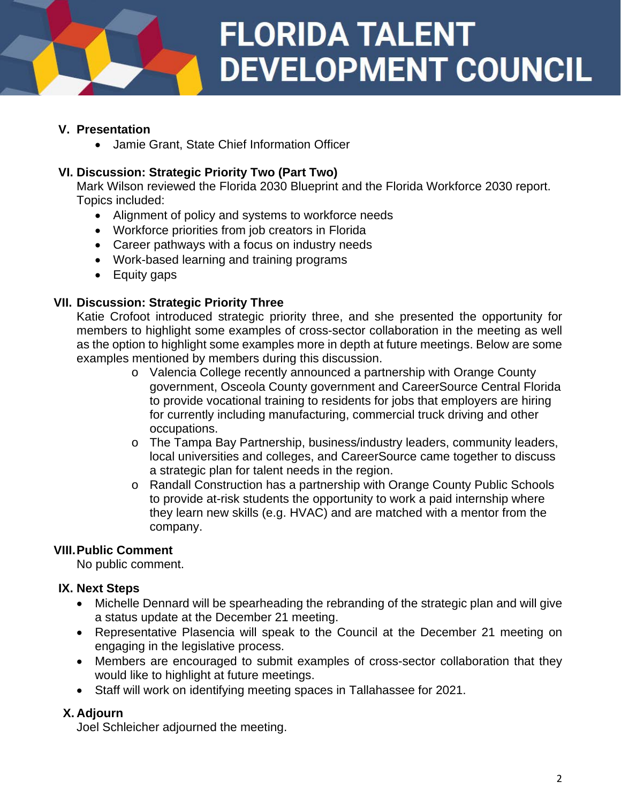### **V. Presentation**

• Jamie Grant, State Chief Information Officer

### **VI. Discussion: Strategic Priority Two (Part Two)**

Mark Wilson reviewed the Florida 2030 Blueprint and the Florida Workforce 2030 report. Topics included:

- Alignment of policy and systems to workforce needs
- Workforce priorities from job creators in Florida
- Career pathways with a focus on industry needs
- Work-based learning and training programs
- Equity gaps

#### **VII. Discussion: Strategic Priority Three**

Katie Crofoot introduced strategic priority three, and she presented the opportunity for members to highlight some examples of cross-sector collaboration in the meeting as well as the option to highlight some examples more in depth at future meetings. Below are some examples mentioned by members during this discussion.

- o Valencia College recently announced a partnership with Orange County government, Osceola County government and CareerSource Central Florida to provide vocational training to residents for jobs that employers are hiring for currently including manufacturing, commercial truck driving and other occupations.
- o The Tampa Bay Partnership, business/industry leaders, community leaders, local universities and colleges, and CareerSource came together to discuss a strategic plan for talent needs in the region.
- o Randall Construction has a partnership with Orange County Public Schools to provide at-risk students the opportunity to work a paid internship where they learn new skills (e.g. HVAC) and are matched with a mentor from the company.

### **VIII.Public Comment**

No public comment.

### **IX. Next Steps**

- Michelle Dennard will be spearheading the rebranding of the strategic plan and will give a status update at the December 21 meeting.
- Representative Plasencia will speak to the Council at the December 21 meeting on engaging in the legislative process.
- Members are encouraged to submit examples of cross-sector collaboration that they would like to highlight at future meetings.
- Staff will work on identifying meeting spaces in Tallahassee for 2021.

### **X. Adjourn**

Joel Schleicher adjourned the meeting.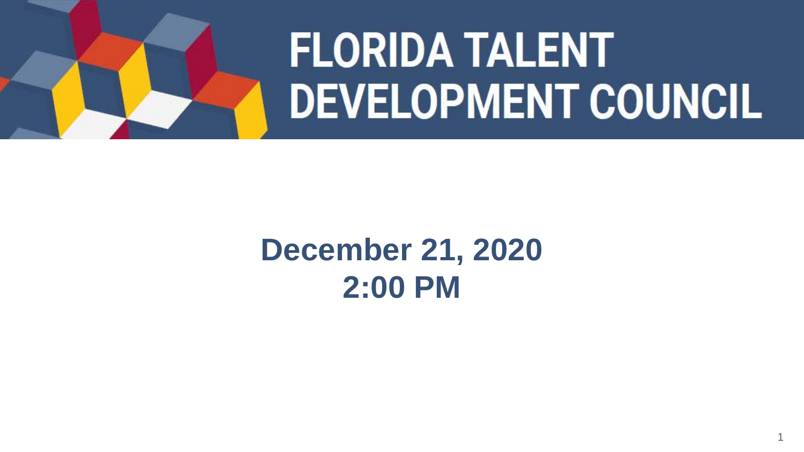

## **December 21, 2020 2:00 PM**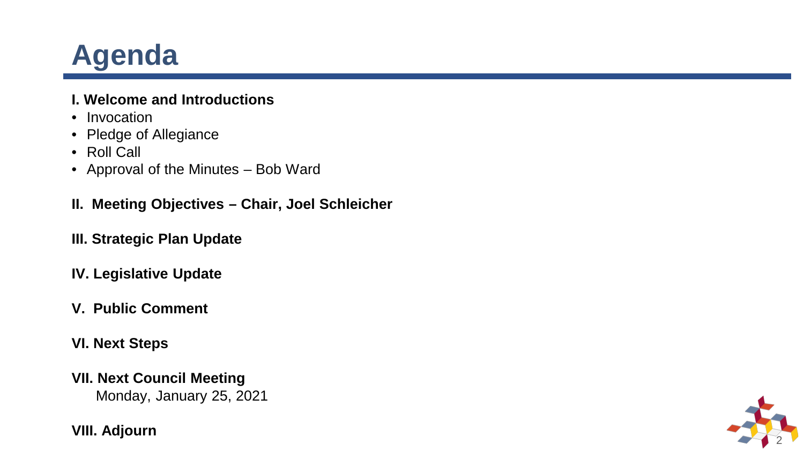## **Agenda**

### **I. Welcome and Introductions**

- 
- Invocation<br>• Pledge of Allegiance
- 
- Roll Call<br>• Approval of the Minutes Bob Ward
- **II. Meeting Objectives – Chair, Joel Schleicher**
- **III. Strategic Plan Update**
- **IV. Legislative Update**
- **V. Public Comment**
- **VI. Next Steps**
- **VII. Next Council Meeting** Monday, January 25, 2021

**VIII. Adjourn**

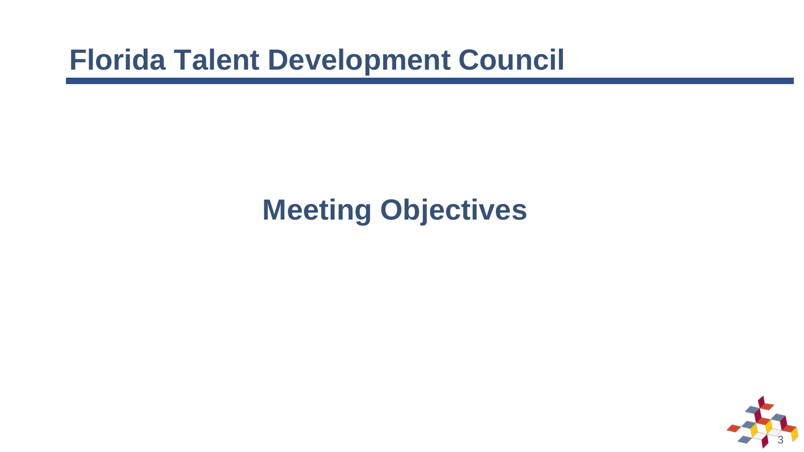## **Meeting Objectives**

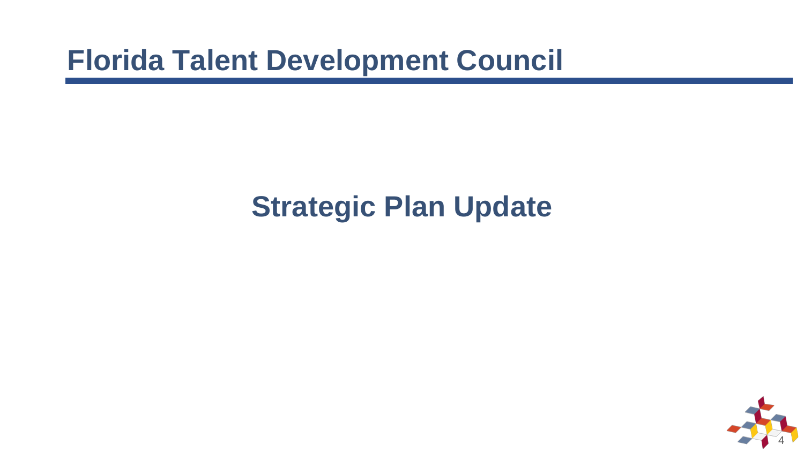## **Strategic Plan Update**

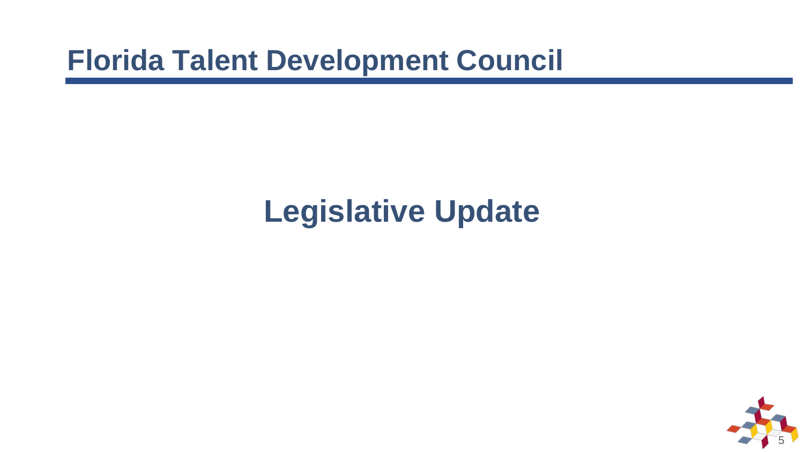## **Legislative Update**

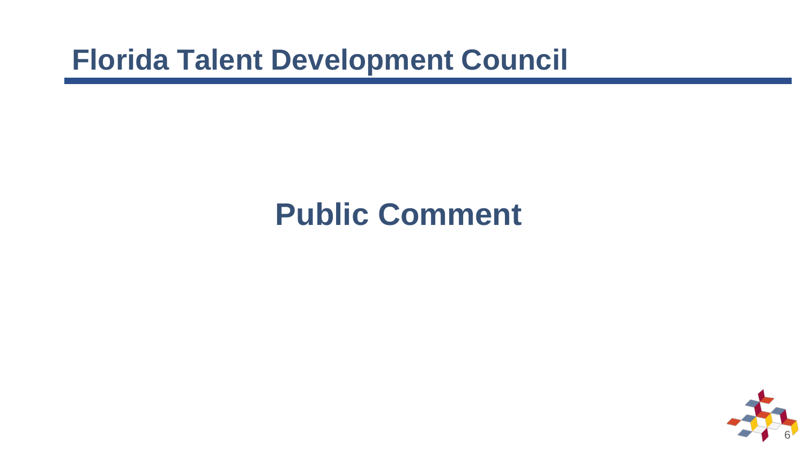## **Public Comment**

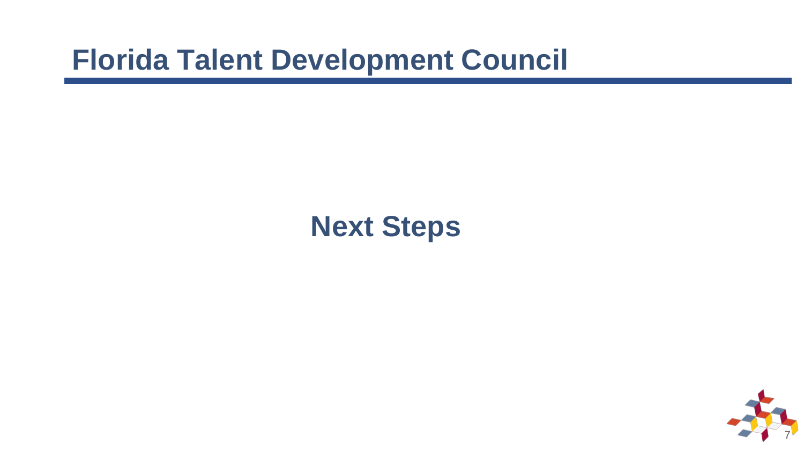## **Next Steps**